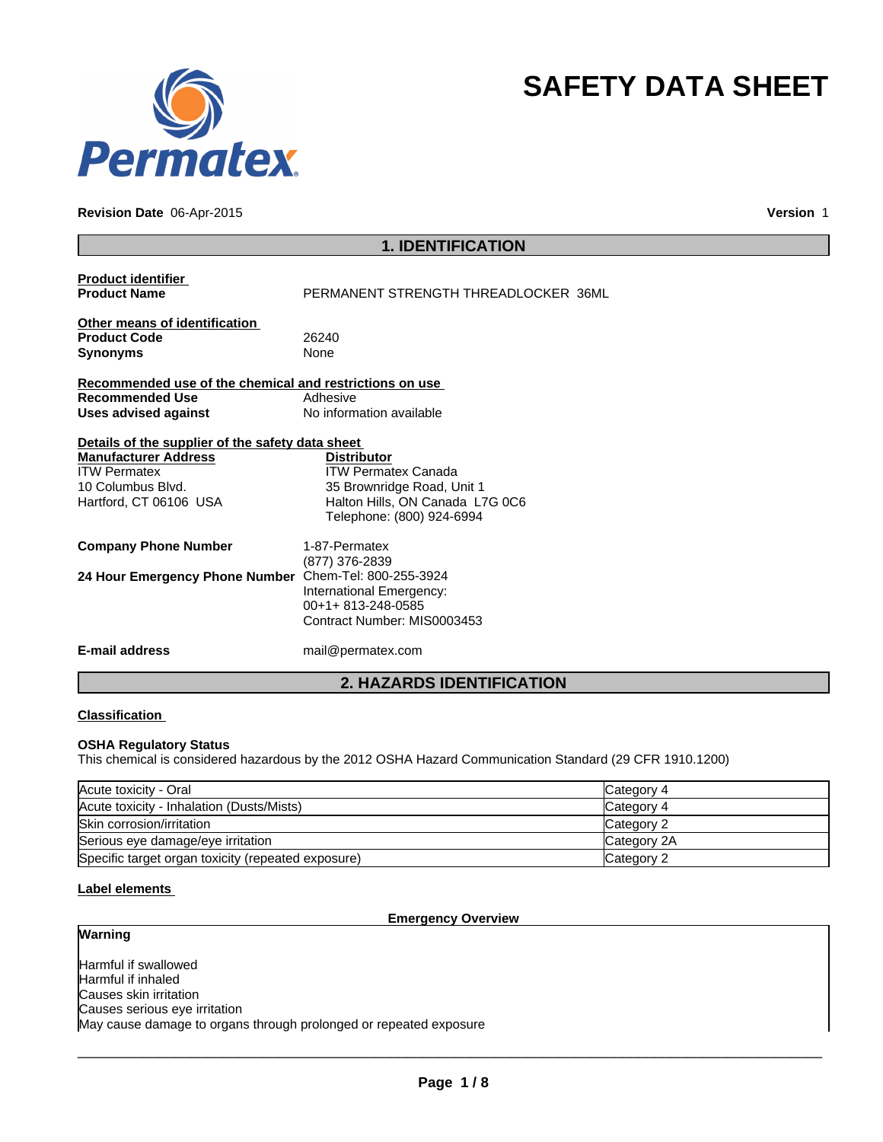

## **Revision Date** 06-Apr-2015

**Version** 1

**SAFETY DATA SHEET**

|                                                                                                                                                       | <b>1. IDENTIFICATION</b>                                                                                                                       |
|-------------------------------------------------------------------------------------------------------------------------------------------------------|------------------------------------------------------------------------------------------------------------------------------------------------|
| <b>Product identifier</b><br><b>Product Name</b>                                                                                                      | PERMANENT STRENGTH THREADLOCKER 36ML                                                                                                           |
| Other means of identification<br><b>Product Code</b><br><b>Synonyms</b>                                                                               | 26240<br>None                                                                                                                                  |
| Recommended use of the chemical and restrictions on use<br><b>Recommended Use</b><br>Uses advised against                                             | Adhesive<br>No information available                                                                                                           |
| Details of the supplier of the safety data sheet<br><b>Manufacturer Address</b><br><b>ITW Permatex</b><br>10 Columbus Blvd.<br>Hartford, CT 06106 USA | <b>Distributor</b><br><b>ITW Permatex Canada</b><br>35 Brownridge Road, Unit 1<br>Halton Hills, ON Canada L7G 0C6<br>Telephone: (800) 924-6994 |
| <b>Company Phone Number</b>                                                                                                                           | 1-87-Permatex<br>(877) 376-2839                                                                                                                |
| 24 Hour Emergency Phone Number                                                                                                                        | Chem-Tel: 800-255-3924<br>International Emergency:<br>00+1+813-248-0585<br>Contract Number: MIS0003453                                         |
| <b>E-mail address</b>                                                                                                                                 | mail@permatex.com                                                                                                                              |
|                                                                                                                                                       | <b>2. HAZARDS IDENTIFICATION</b>                                                                                                               |

### **Classification**

### **OSHA Regulatory Status**

This chemical is considered hazardous by the 2012 OSHA Hazard Communication Standard (29 CFR 1910.1200)

| Acute toxicity - Oral                              | Category 4  |
|----------------------------------------------------|-------------|
| Acute toxicity - Inhalation (Dusts/Mists)          | Category 4  |
| Skin corrosion/irritation                          | Category 2  |
| Serious eye damage/eye irritation                  | Category 2A |
| Specific target organ toxicity (repeated exposure) | Category 2  |

# **Label elements**

**Warning**

## **Emergency Overview**

Harmful if swallowed Harmful if inhaled Causes skin irritation Causes serious eye irritation May cause damage to organs through prolonged or repeated exposure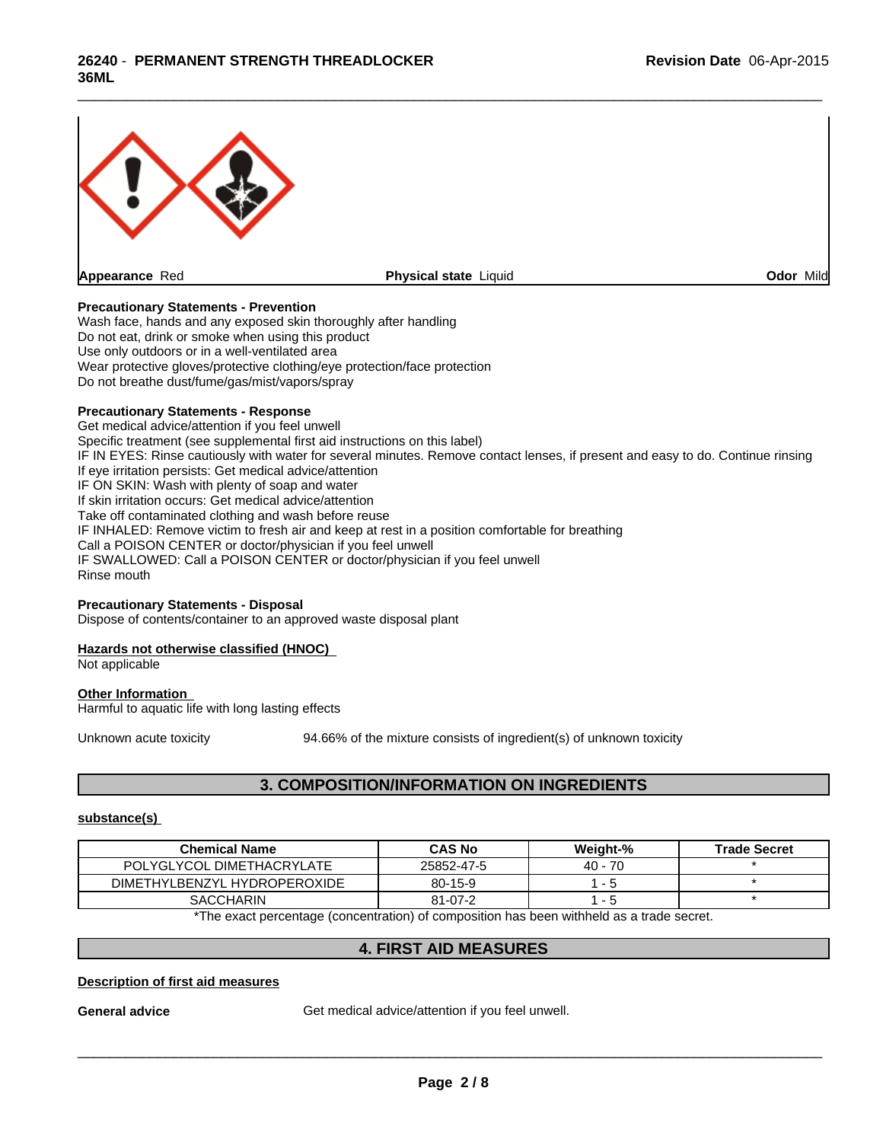

\_\_\_\_\_\_\_\_\_\_\_\_\_\_\_\_\_\_\_\_\_\_\_\_\_\_\_\_\_\_\_\_\_\_\_\_\_\_\_\_\_\_\_\_\_\_\_\_\_\_\_\_\_\_\_\_\_\_\_\_\_\_\_\_\_\_\_\_\_\_\_\_\_\_\_\_\_\_\_\_\_\_\_\_\_\_\_\_\_\_\_\_\_

### **Precautionary Statements - Prevention**

Wash face, hands and any exposed skin thoroughly after handling Do not eat, drink or smoke when using this product Use only outdoors or in a well-ventilated area Wear protective gloves/protective clothing/eye protection/face protection Do not breathe dust/fume/gas/mist/vapors/spray

### **Precautionary Statements - Response**

Get medical advice/attention if you feel unwell Specific treatment (see supplemental first aid instructions on this label) IF IN EYES: Rinse cautiously with water for several minutes. Remove contact lenses, if present and easy to do. Continue rinsing If eye irritation persists: Get medical advice/attention IF ON SKIN: Wash with plenty of soap and water If skin irritation occurs: Get medical advice/attention Take off contaminated clothing and wash before reuse IF INHALED: Remove victim to fresh air and keep at rest in a position comfortable for breathing Call a POISON CENTER or doctor/physician if you feel unwell IF SWALLOWED: Call a POISON CENTER or doctor/physician if you feel unwell Rinse mouth

### **Precautionary Statements - Disposal**

Dispose of contents/container to an approved waste disposal plant

### **Hazards not otherwise classified (HNOC)**

Not applicable

## **Other Information**

Harmful to aquatic life with long lasting effects

Unknown acute toxicity 94.66% of the mixture consists of ingredient(s) of unknown toxicity

# **3. COMPOSITION/INFORMATION ON INGREDIENTS**

### **substance(s)**

| <b>Chemical Name</b>         | <b>CAS No</b> | Weight-%  | <b>Trade Secret</b> |
|------------------------------|---------------|-----------|---------------------|
| POLYGLYCOL DIMETHACRYLATE    | 25852-47-5    | $40 - 70$ |                     |
| DIMETHYLBENZYL HYDROPEROXIDE | $80 - 15 - 9$ |           |                     |
| <b>SACCHARIN</b>             | $81 - 07 - 2$ |           |                     |

\*The exact percentage (concentration) of composition has been withheld as a trade secret.

## **4. FIRST AID MEASURES**

### **Description of first aid measures**

General advice **Get medical advice/attention if you feel unwell.**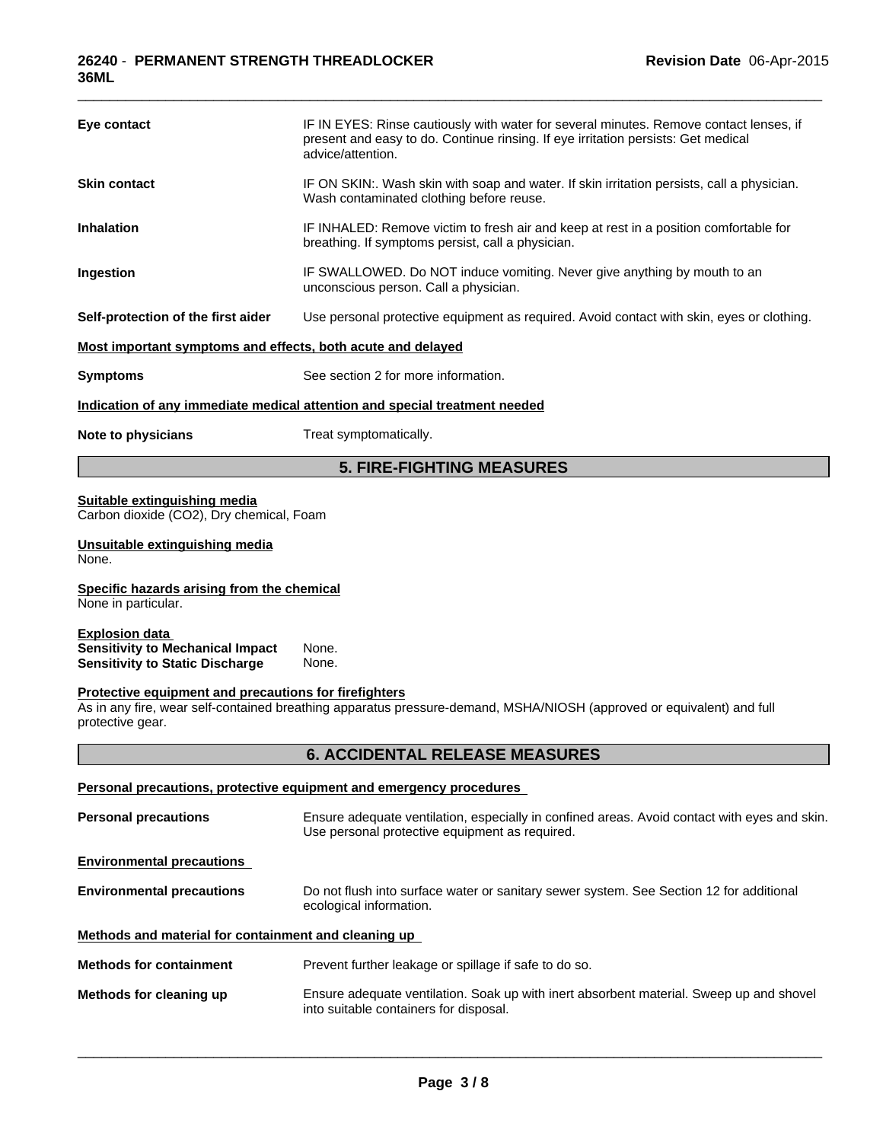| Eye contact                                                                                                | IF IN EYES: Rinse cautiously with water for several minutes. Remove contact lenses, if<br>present and easy to do. Continue rinsing. If eye irritation persists: Get medical<br>advice/attention. |
|------------------------------------------------------------------------------------------------------------|--------------------------------------------------------------------------------------------------------------------------------------------------------------------------------------------------|
| <b>Skin contact</b>                                                                                        | IF ON SKIN:. Wash skin with soap and water. If skin irritation persists, call a physician.<br>Wash contaminated clothing before reuse.                                                           |
| <b>Inhalation</b>                                                                                          | IF INHALED: Remove victim to fresh air and keep at rest in a position comfortable for<br>breathing. If symptoms persist, call a physician.                                                       |
| Ingestion                                                                                                  | IF SWALLOWED. Do NOT induce vomiting. Never give anything by mouth to an<br>unconscious person. Call a physician.                                                                                |
| Self-protection of the first aider                                                                         | Use personal protective equipment as required. Avoid contact with skin, eyes or clothing.                                                                                                        |
| Most important symptoms and effects, both acute and delayed                                                |                                                                                                                                                                                                  |
| <b>Symptoms</b>                                                                                            | See section 2 for more information.                                                                                                                                                              |
|                                                                                                            | Indication of any immediate medical attention and special treatment needed                                                                                                                       |
| Note to physicians                                                                                         | Treat symptomatically.                                                                                                                                                                           |
|                                                                                                            | <b>5. FIRE-FIGHTING MEASURES</b>                                                                                                                                                                 |
| Carbon dioxide (CO2), Dry chemical, Foam<br>Unsuitable extinguishing media<br>None.                        |                                                                                                                                                                                                  |
| Specific hazards arising from the chemical<br>None in particular.                                          |                                                                                                                                                                                                  |
| <b>Explosion data</b><br><b>Sensitivity to Mechanical Impact</b><br><b>Sensitivity to Static Discharge</b> | None.<br>None.                                                                                                                                                                                   |
| Protective equipment and precautions for firefighters<br>protective gear.                                  | As in any fire, wear self-contained breathing apparatus pressure-demand, MSHA/NIOSH (approved or equivalent) and full                                                                            |
|                                                                                                            | <b>6. ACCIDENTAL RELEASE MEASURES</b>                                                                                                                                                            |
|                                                                                                            | Personal precautions, protective equipment and emergency procedures                                                                                                                              |
| <b>Personal precautions</b>                                                                                | Ensure adequate ventilation, especially in confined areas. Avoid contact with eyes and skin.<br>Use personal protective equipment as required.                                                   |
| <b>Environmental precautions</b>                                                                           |                                                                                                                                                                                                  |
| <b>Environmental precautions</b>                                                                           | Do not flush into surface water or sanitary sewer system. See Section 12 for additional<br>ecological information.                                                                               |
| Methods and material for containment and cleaning up                                                       |                                                                                                                                                                                                  |
| <b>Methods for containment</b>                                                                             | Prevent further leakage or spillage if safe to do so.                                                                                                                                            |
| Methods for cleaning up                                                                                    | Ensure adequate ventilation. Soak up with inert absorbent material. Sweep up and shovel<br>into suitable containers for disposal.                                                                |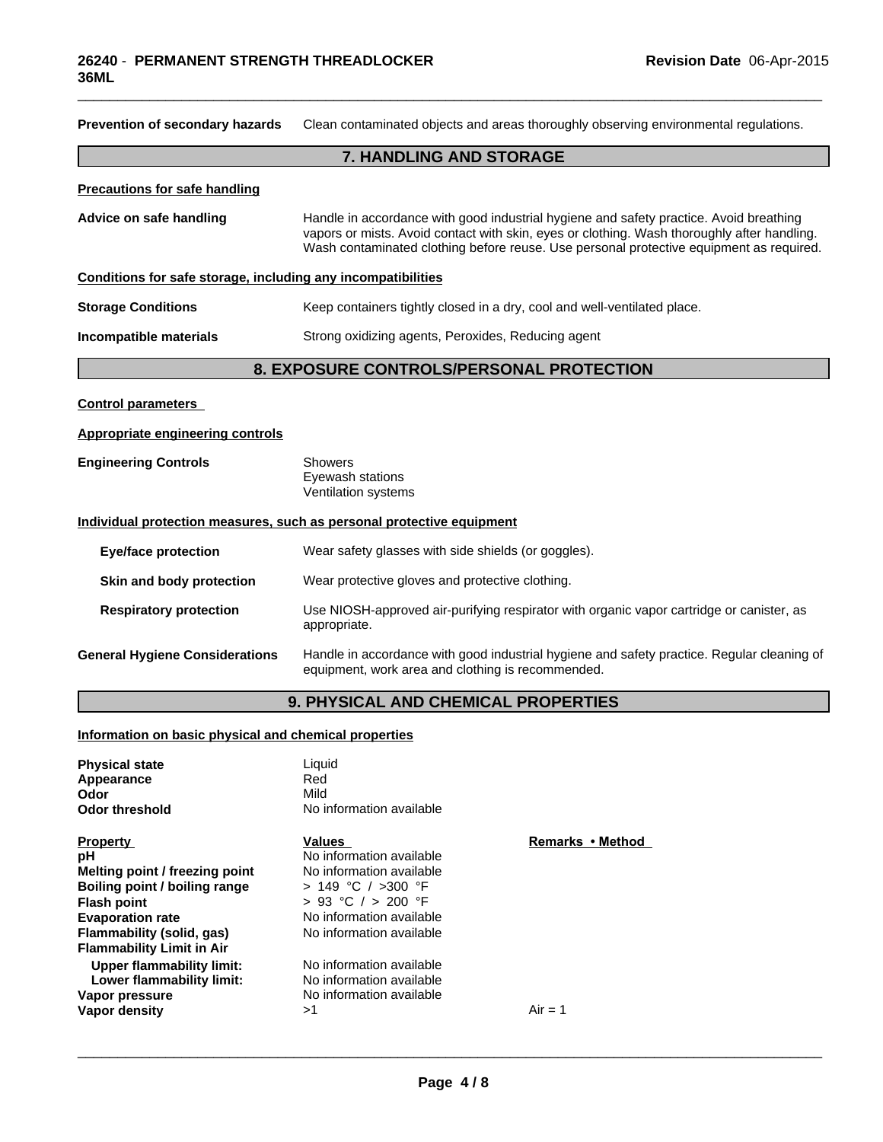| Prevention of secondary hazards                              | Clean contaminated objects and areas thoroughly observing environmental regulations.                                                                                                                                                                                             |
|--------------------------------------------------------------|----------------------------------------------------------------------------------------------------------------------------------------------------------------------------------------------------------------------------------------------------------------------------------|
|                                                              | <b>7. HANDLING AND STORAGE</b>                                                                                                                                                                                                                                                   |
| <b>Precautions for safe handling</b>                         |                                                                                                                                                                                                                                                                                  |
| Advice on safe handling                                      | Handle in accordance with good industrial hygiene and safety practice. Avoid breathing<br>vapors or mists. Avoid contact with skin, eyes or clothing. Wash thoroughly after handling.<br>Wash contaminated clothing before reuse. Use personal protective equipment as required. |
| Conditions for safe storage, including any incompatibilities |                                                                                                                                                                                                                                                                                  |
| <b>Storage Conditions</b>                                    | Keep containers tightly closed in a dry, cool and well-ventilated place.                                                                                                                                                                                                         |
| Incompatible materials                                       | Strong oxidizing agents, Peroxides, Reducing agent                                                                                                                                                                                                                               |
|                                                              | 8. EXPOSURE CONTROLS/PERSONAL PROTECTION                                                                                                                                                                                                                                         |
| <b>Control parameters</b>                                    |                                                                                                                                                                                                                                                                                  |
| <b>Appropriate engineering controls</b>                      |                                                                                                                                                                                                                                                                                  |
| <b>Engineering Controls</b>                                  | <b>Showers</b><br>Eyewash stations<br>Ventilation systems                                                                                                                                                                                                                        |
|                                                              | Individual protection measures, such as personal protective equipment                                                                                                                                                                                                            |
| <b>Eye/face protection</b>                                   | Wear safety glasses with side shields (or goggles).                                                                                                                                                                                                                              |
| Skin and body protection                                     | Wear protective gloves and protective clothing.                                                                                                                                                                                                                                  |
| <b>Respiratory protection</b>                                | Use NIOSH-approved air-purifying respirator with organic vapor cartridge or canister, as<br>appropriate.                                                                                                                                                                         |
| <b>General Hygiene Considerations</b>                        | Handle in accordance with good industrial hygiene and safety practice. Regular cleaning of<br>equipment, work area and clothing is recommended.                                                                                                                                  |
|                                                              | 9. PHYSICAL AND CHEMICAL PROPERTIES                                                                                                                                                                                                                                              |

\_\_\_\_\_\_\_\_\_\_\_\_\_\_\_\_\_\_\_\_\_\_\_\_\_\_\_\_\_\_\_\_\_\_\_\_\_\_\_\_\_\_\_\_\_\_\_\_\_\_\_\_\_\_\_\_\_\_\_\_\_\_\_\_\_\_\_\_\_\_\_\_\_\_\_\_\_\_\_\_\_\_\_\_\_\_\_\_\_\_\_\_\_

**Information on basic physical and chemical properties**

| <b>Physical state</b><br>Appearance<br>Odor<br><b>Odor threshold</b> | Liquid<br>Red<br>Mild<br>No information available |                  |
|----------------------------------------------------------------------|---------------------------------------------------|------------------|
| <b>Property</b>                                                      | Values                                            | Remarks • Method |
| рH                                                                   | No information available                          |                  |
| Melting point / freezing point                                       | No information available                          |                  |
| Boiling point / boiling range                                        | $> 149$ °C / $>300$ °F                            |                  |
| <b>Flash point</b>                                                   | $> 93$ °C $/ > 200$ °F                            |                  |
| <b>Evaporation rate</b>                                              | No information available                          |                  |
| Flammability (solid, gas)                                            | No information available                          |                  |
| <b>Flammability Limit in Air</b>                                     |                                                   |                  |
| Upper flammability limit:                                            | No information available                          |                  |
| Lower flammability limit:                                            | No information available                          |                  |
| Vapor pressure                                                       | No information available                          |                  |
| Vapor density                                                        | >1                                                | $Air = 1$        |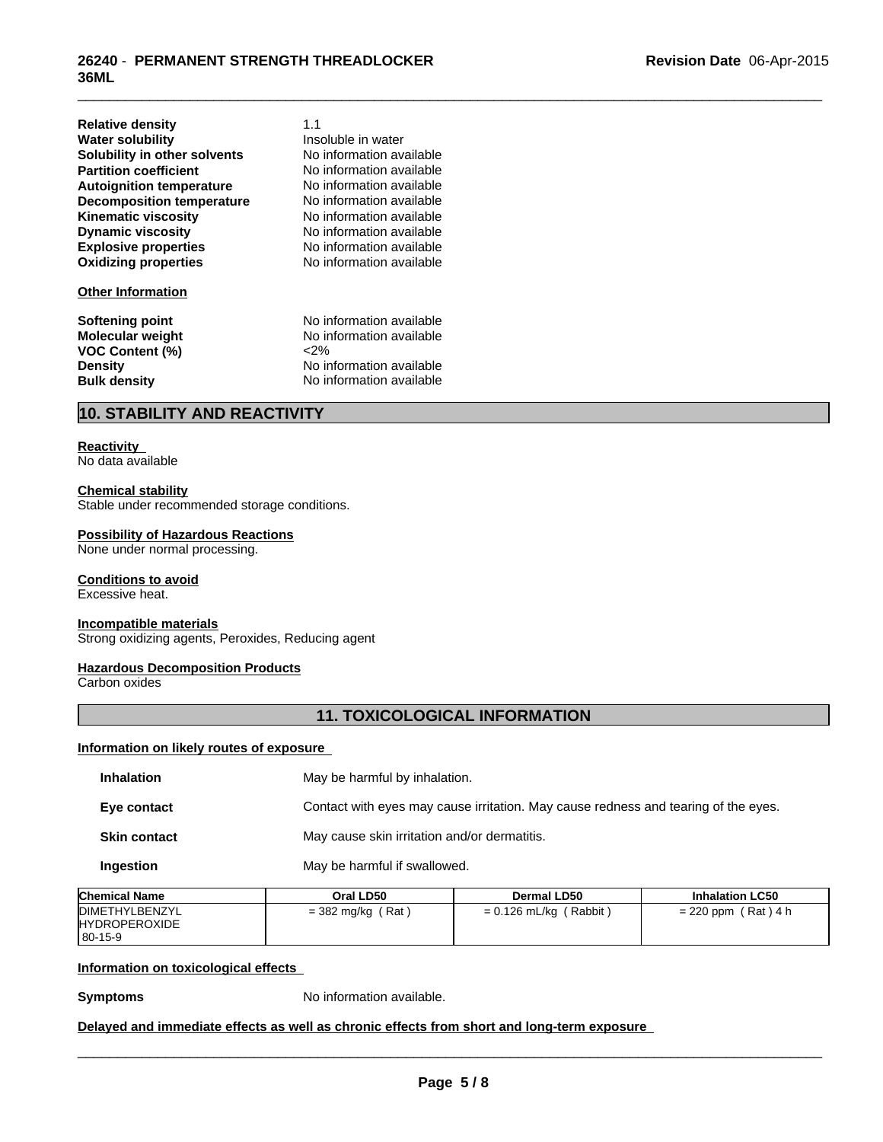| <b>Relative density</b>          | 1. |
|----------------------------------|----|
| <b>Water solubility</b>          | In |
| Solubility in other solvents     | N  |
| <b>Partition coefficient</b>     | N  |
| <b>Autoignition temperature</b>  | N  |
| <b>Decomposition temperature</b> | N  |
| <b>Kinematic viscosity</b>       | N  |
| <b>Dynamic viscosity</b>         | N  |
| <b>Explosive properties</b>      | N  |
| <b>Oxidizing properties</b>      | N  |
|                                  |    |

### **Other Information**

**VOC Content (%)**<br>Density

**Explosive properties** No information available **Oxidizing properties** No information available **No information available No information available No information available No information available Insoluble in water** No information available **No information available** 

1.1

\_\_\_\_\_\_\_\_\_\_\_\_\_\_\_\_\_\_\_\_\_\_\_\_\_\_\_\_\_\_\_\_\_\_\_\_\_\_\_\_\_\_\_\_\_\_\_\_\_\_\_\_\_\_\_\_\_\_\_\_\_\_\_\_\_\_\_\_\_\_\_\_\_\_\_\_\_\_\_\_\_\_\_\_\_\_\_\_\_\_\_\_\_

**Softening point No information available**<br> **Molecular weight No information available** No information available<br><2% **Density Constitution No information available**<br> **Bulk density No information available No information available** 

# **10. STABILITY AND REACTIVITY**

## **Reactivity**

No data available

## **Chemical stability**

Stable under recommended storage conditions.

#### **Possibility of Hazardous Reactions**

None under normal processing.

### **Conditions to avoid**

Excessive heat.

#### **Incompatible materials**

Strong oxidizing agents, Peroxides, Reducing agent

### **Hazardous Decomposition Products**

Carbon oxides

## **11. TOXICOLOGICAL INFORMATION**

## **Information on likely routes of exposure**

| <b>Inhalation</b>   | May be harmful by inhalation.                                                      |
|---------------------|------------------------------------------------------------------------------------|
| Eye contact         | Contact with eyes may cause irritation. May cause redness and tearing of the eyes. |
| <b>Skin contact</b> | May cause skin irritation and/or dermatitis.                                       |
| Ingestion           | May be harmful if swallowed.                                                       |

| <b>Chemical Name</b>                                             | Oral LD50                            | <b>Dermal LD50</b>        | <b>Inhalation LC50</b>   |
|------------------------------------------------------------------|--------------------------------------|---------------------------|--------------------------|
| <b>IDIMETHYLBENZYL</b><br><b>HYDROPEROXIDE</b><br>$180 - 15 - 9$ | ′ Rat<br>$=$ 382 mg/kg $\frac{1}{2}$ | = 0.126 mL/kg<br>( Rabbit | $= 220$ ppm<br>(Rat) 4 h |

## **Information on toxicological effects**

**Symptoms** No information available.

### **Delayed and immediate effects as well as chronic effects from short and long-term exposure**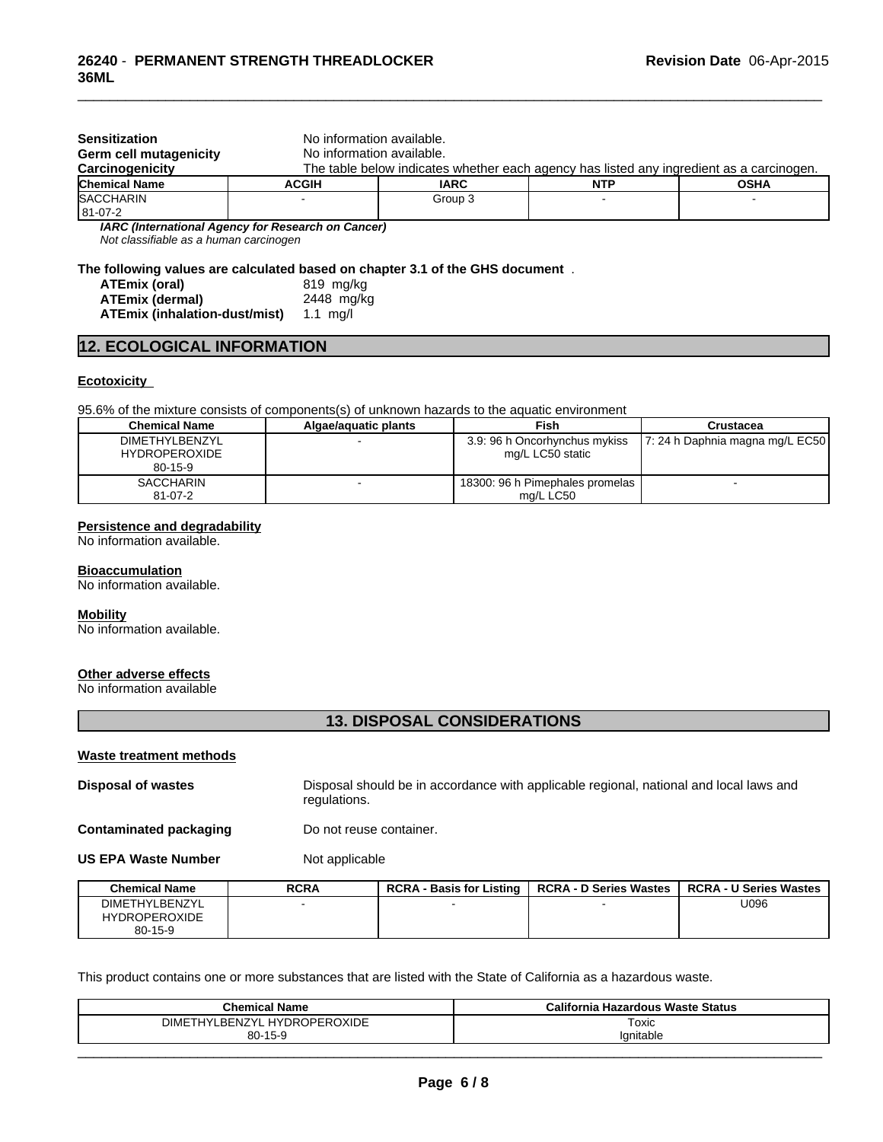| <b>Sensitization</b><br>Germ cell mutagenicity<br>Carcinogenicity | No information available.<br>No information available. |             | The table below indicates whether each agency has listed any ingredient as a carcinogen. |             |
|-------------------------------------------------------------------|--------------------------------------------------------|-------------|------------------------------------------------------------------------------------------|-------------|
| <b>Chemical Name</b>                                              | <b>ACGIH</b>                                           | <b>IARC</b> | <b>NTP</b>                                                                               | <b>OSHA</b> |
| <b>SACCHARIN</b><br>81-07-2                                       |                                                        | Group 3     |                                                                                          |             |
| Not classifiable as a human carcinogen                            | IARC (International Agency for Research on Cancer)     |             |                                                                                          |             |

\_\_\_\_\_\_\_\_\_\_\_\_\_\_\_\_\_\_\_\_\_\_\_\_\_\_\_\_\_\_\_\_\_\_\_\_\_\_\_\_\_\_\_\_\_\_\_\_\_\_\_\_\_\_\_\_\_\_\_\_\_\_\_\_\_\_\_\_\_\_\_\_\_\_\_\_\_\_\_\_\_\_\_\_\_\_\_\_\_\_\_\_\_

**The following values are calculated based on chapter 3.1 of the GHS document** .

| ATEmix (oral)                 | 819 mg/ka  |
|-------------------------------|------------|
| <b>ATEmix (dermal)</b>        | 2448 mg/kg |
| ATEmix (inhalation-dust/mist) | 1.1 ma/l   |

## **12. ECOLOGICAL INFORMATION**

#### **Ecotoxicity**

95.6% of the mixture consists of components(s) of unknown hazards to the aquatic environment

| <b>Chemical Name</b>                                           | Algae/aguatic plants | Fish                                              | Crustacea                         |  |
|----------------------------------------------------------------|----------------------|---------------------------------------------------|-----------------------------------|--|
| <b>DIMETHYLBENZYL</b><br><b>HYDROPEROXIDE</b><br>$80 - 15 - 9$ |                      | 3.9: 96 h Oncorhynchus mykiss<br>mg/L LC50 static | $ 7:24$ h Daphnia magna mg/L EC50 |  |
| <b>SACCHARIN</b><br>$81-07-2$                                  |                      | 18300: 96 h Pimephales promelas<br>ma/L LC50      |                                   |  |

### **Persistence and degradability**

No information available.

# **Bioaccumulation**

No information available.

#### **Mobility**

No information available.

#### **Other adverse effects**

No information available

# **13. DISPOSAL CONSIDERATIONS**

#### **Waste treatment methods**

| <b>Disposal of wastes</b> | Disposal should be in accordance with applicable regional, national and local laws and |
|---------------------------|----------------------------------------------------------------------------------------|
|                           | regulations.                                                                           |
|                           |                                                                                        |

**Contaminated packaging Do not reuse container.** 

**US EPA Waste Number** Not applicable

| <b>Chemical Name</b>            | <b>RCRA</b> | <b>RCRA-</b><br>- Basis for Listing | <b>RCRA - D Series Wastes</b> | <b>RCRA - U Series Wastes</b> |
|---------------------------------|-------------|-------------------------------------|-------------------------------|-------------------------------|
| <b>DIMETHYLBENZYL</b>           |             |                                     |                               | U096                          |
| <b>HYDROPEROXIDE</b><br>80-15-9 |             |                                     |                               |                               |

This product contains one or more substances that are listed with the State of California as a hazardous waste.

| <b>Chemical Name</b>                                            | California Hazardous Waste Status |
|-----------------------------------------------------------------|-----------------------------------|
| /L HYDROPEROXIDE<br>LBENZYL<br><b>DIMET</b><br><b>LIV'</b><br>- | Toxic                             |
| $80 - 15 - 9$                                                   | lanitable                         |
|                                                                 |                                   |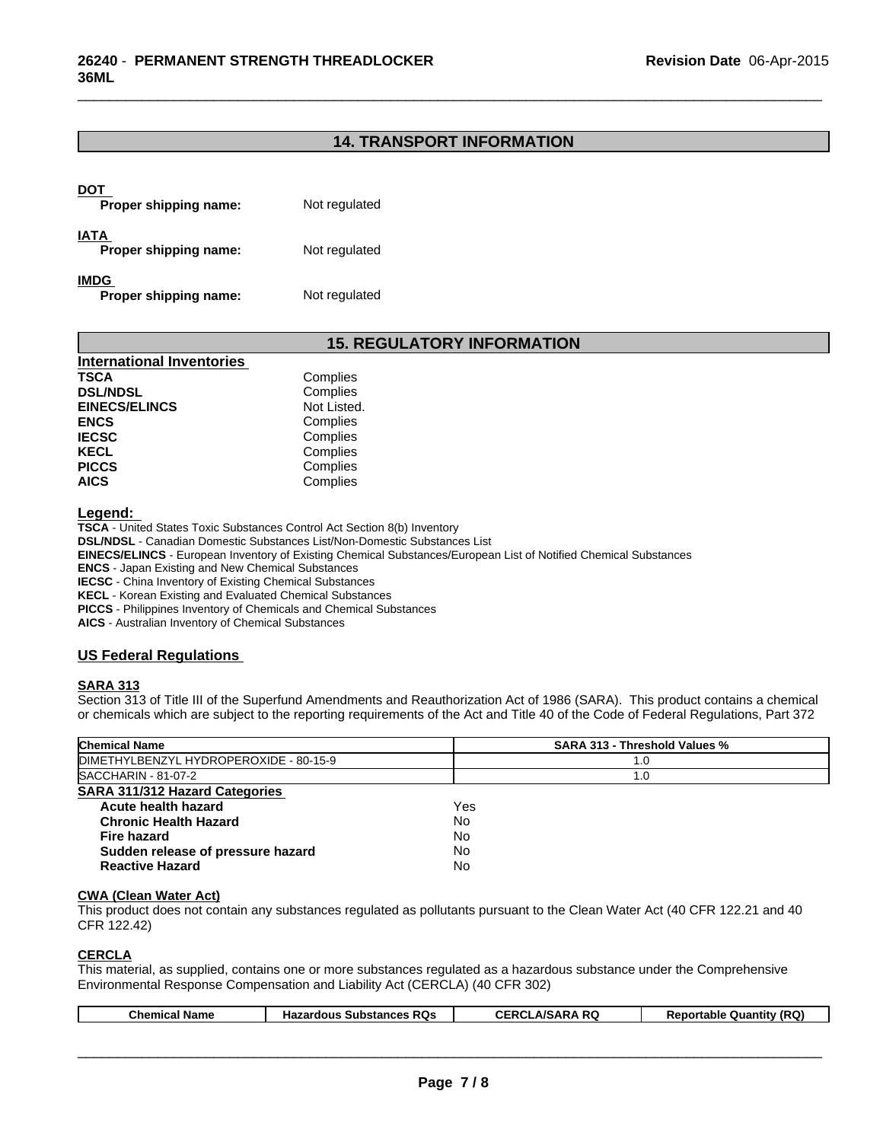## **14. TRANSPORT INFORMATION**

| DOT<br>Proper shipping name:         | Not regulated |
|--------------------------------------|---------------|
| <b>IATA</b><br>Proper shipping name: | Not regulated |
| <b>IMDG</b><br>Proper shipping name: | Not regulated |

## **15. REGULATORY INFORMATION**

| <b>International Inventories</b> |             |
|----------------------------------|-------------|
| TSCA                             | Complies    |
| <b>DSL/NDSL</b>                  | Complies    |
| <b>EINECS/ELINCS</b>             | Not Listed. |
| <b>ENCS</b>                      | Complies    |
| <b>IECSC</b>                     | Complies    |
| KECL                             | Complies    |
| <b>PICCS</b>                     | Complies    |
| AICS                             | Complies    |

**Legend:** 

**TSCA** - United States Toxic Substances Control Act Section 8(b) Inventory **DSL/NDSL** - Canadian Domestic Substances List/Non-Domestic Substances List **EINECS/ELINCS** - European Inventory of Existing Chemical Substances/European List of Notified Chemical Substances **ENCS** - Japan Existing and New Chemical Substances **IECSC** - China Inventory of Existing Chemical Substances **KECL** - Korean Existing and Evaluated Chemical Substances **PICCS** - Philippines Inventory of Chemicals and Chemical Substances

**AICS** - Australian Inventory of Chemical Substances

## **US Federal Regulations**

## **SARA 313**

Section 313 of Title III of the Superfund Amendments and Reauthorization Act of 1986 (SARA). This product contains a chemical or chemicals which are subject to the reporting requirements of the Act and Title 40 of the Code of Federal Regulations, Part 372

#### **CWA (Clean Water Act)**

This product does not contain any substances regulated as pollutants pursuant to the Clean Water Act (40 CFR 122.21 and 40 CFR 122.42)

### **CERCLA**

This material, as supplied, contains one or more substances regulated as a hazardous substance under the Comprehensive Environmental Response Compensation and Liability Act (CERCLA) (40 CFR 302)